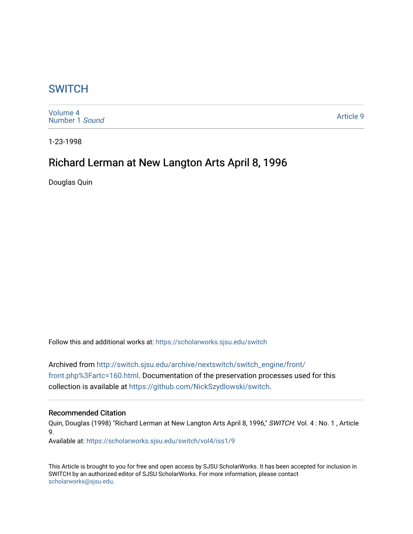## **SWITCH**

[Volume 4](https://scholarworks.sjsu.edu/switch/vol4) [Number 1](https://scholarworks.sjsu.edu/switch/vol4/iss1) Sound

[Article 9](https://scholarworks.sjsu.edu/switch/vol4/iss1/9) 

1-23-1998

# Richard Lerman at New Langton Arts April 8, 1996

Douglas Quin

Follow this and additional works at: [https://scholarworks.sjsu.edu/switch](https://scholarworks.sjsu.edu/switch?utm_source=scholarworks.sjsu.edu%2Fswitch%2Fvol4%2Fiss1%2F9&utm_medium=PDF&utm_campaign=PDFCoverPages)

Archived from [http://switch.sjsu.edu/archive/nextswitch/switch\\_engine/front/](http://switch.sjsu.edu/archive/nextswitch/switch_engine/front/front.php%3Fartc=160.html) [front.php%3Fartc=160.html.](http://switch.sjsu.edu/archive/nextswitch/switch_engine/front/front.php%3Fartc=160.html) Documentation of the preservation processes used for this collection is available at [https://github.com/NickSzydlowski/switch.](https://github.com/NickSzydlowski/switch)

#### Recommended Citation

Quin, Douglas (1998) "Richard Lerman at New Langton Arts April 8, 1996," SWITCH: Vol. 4: No. 1, Article 9.

Available at: [https://scholarworks.sjsu.edu/switch/vol4/iss1/9](https://scholarworks.sjsu.edu/switch/vol4/iss1/9?utm_source=scholarworks.sjsu.edu%2Fswitch%2Fvol4%2Fiss1%2F9&utm_medium=PDF&utm_campaign=PDFCoverPages)

This Article is brought to you for free and open access by SJSU ScholarWorks. It has been accepted for inclusion in SWITCH by an authorized editor of SJSU ScholarWorks. For more information, please contact [scholarworks@sjsu.edu](mailto:scholarworks@sjsu.edu).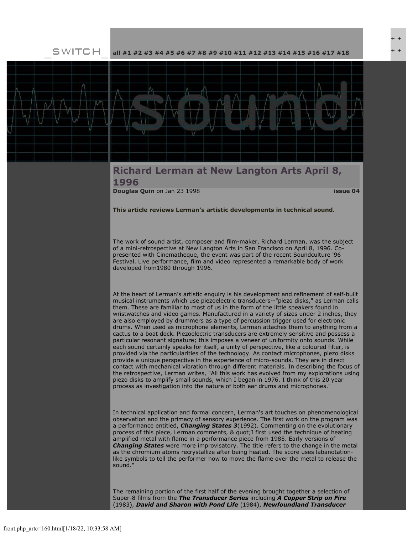SWITCH

**[all](file:///Users/nszydlowski/Desktop/websites%20copy/Switch%20Journal/switch.sjsu.edu/archive/nextswitch/switch_engine/front/front.php.html) [#1](file:///Users/nszydlowski/Desktop/websites%20copy/Switch%20Journal/switch.sjsu.edu/archive/nextswitch/switch_engine/front/front.php_cat%3d5.html) [#2](file:///Users/nszydlowski/Desktop/websites%20copy/Switch%20Journal/switch.sjsu.edu/archive/nextswitch/switch_engine/front/front.php_cat%3d6.html) [#3](file:///Users/nszydlowski/Desktop/websites%20copy/Switch%20Journal/switch.sjsu.edu/archive/nextswitch/switch_engine/front/front.php_cat%3d7.html) [#4](file:///Users/nszydlowski/Desktop/websites%20copy/Switch%20Journal/switch.sjsu.edu/archive/nextswitch/switch_engine/front/front.php_cat%3d8.html) [#5](file:///Users/nszydlowski/Desktop/websites%20copy/Switch%20Journal/switch.sjsu.edu/archive/nextswitch/switch_engine/front/front.php_cat%3d9.html) [#6](file:///Users/nszydlowski/Desktop/websites%20copy/Switch%20Journal/switch.sjsu.edu/archive/nextswitch/switch_engine/front/front.php_cat%3d10.html) [#7](file:///Users/nszydlowski/Desktop/websites%20copy/Switch%20Journal/switch.sjsu.edu/archive/nextswitch/switch_engine/front/front.php_cat%3d11.html) [#8](file:///Users/nszydlowski/Desktop/websites%20copy/Switch%20Journal/switch.sjsu.edu/archive/nextswitch/switch_engine/front/front.php_cat%3d12.html) [#9](file:///Users/nszydlowski/Desktop/websites%20copy/Switch%20Journal/switch.sjsu.edu/archive/nextswitch/switch_engine/front/front.php_cat%3d13.html) [#10](file:///Users/nszydlowski/Desktop/websites%20copy/Switch%20Journal/switch.sjsu.edu/archive/nextswitch/switch_engine/front/front.php_cat%3d14.html) [#11](file:///Users/nszydlowski/Desktop/websites%20copy/Switch%20Journal/switch.sjsu.edu/archive/nextswitch/switch_engine/front/front.php_cat%3d15.html) [#12](file:///Users/nszydlowski/Desktop/websites%20copy/Switch%20Journal/switch.sjsu.edu/archive/nextswitch/switch_engine/front/front.php_cat%3d16.html) [#13](file:///Users/nszydlowski/Desktop/websites%20copy/Switch%20Journal/switch.sjsu.edu/archive/nextswitch/switch_engine/front/front.php_cat%3d17.html) [#14](file:///Users/nszydlowski/Desktop/websites%20copy/Switch%20Journal/switch.sjsu.edu/archive/nextswitch/switch_engine/front/front.php_cat%3d18.html) [#15](file:///Users/nszydlowski/Desktop/websites%20copy/Switch%20Journal/switch.sjsu.edu/archive/nextswitch/switch_engine/front/front.php_cat%3d19.html) [#16](file:///Users/nszydlowski/Desktop/websites%20copy/Switch%20Journal/switch.sjsu.edu/archive/nextswitch/switch_engine/front/front.php_cat%3d20.html) [#17](file:///Users/nszydlowski/Desktop/websites%20copy/Switch%20Journal/switch.sjsu.edu/archive/nextswitch/switch_engine/front/front.php_cat%3d21.html) [#18](file:///Users/nszydlowski/Desktop/websites%20copy/Switch%20Journal/switch.sjsu.edu/archive/nextswitch/switch_engine/front/front.php_cat%3d44.html)**



### **Richard Lerman at New Langton Arts April 8, 1996**

**[Douglas Quin](file:///Users/nszydlowski/Desktop/websites%20copy/Switch%20Journal/switch.sjsu.edu/archive/nextswitch/switch_engine/front/users.php_w%3d70.html)** on Jan 23 1998 **[issue 04](file:///Users/nszydlowski/Desktop/websites%20copy/Switch%20Journal/switch.sjsu.edu/archive/nextswitch/switch_engine/front/front.php_cat%3d8.html)**

**This article reviews Lerman's artistic developments in technical sound.** 

The work of sound artist, composer and film-maker, Richard Lerman, was the subject of a mini-retrospective at New Langton Arts in San Francisco on April 8, 1996. Copresented with Cinematheque, the event was part of the recent Soundculture '96 Festival. Live performance, film and video represented a remarkable body of work developed from1980 through 1996.

At the heart of Lerman's artistic enquiry is his development and refinement of self-built musical instruments which use piezoelectric transducers--"piezo disks," as Lerman calls them. These are familiar to most of us in the form of the little speakers found in wristwatches and video games. Manufactured in a variety of sizes under 2 inches, they are also employed by drummers as a type of percussion trigger used for electronic drums. When used as microphone elements, Lerman attaches them to anything from a cactus to a boat dock. Piezoelectric transducers are extremely sensitive and possess a particular resonant signature; this imposes a veneer of uniformity onto sounds. While each sound certainly speaks for itself, a unity of perspective, like a coloured filter, is provided via the particularities of the technology. As contact microphones, piezo disks provide a unique perspective in the experience of micro-sounds. They are in direct contact with mechanical vibration through different materials. In describing the focus of the retrospective, Lerman writes, "All this work has evolved from my explorations using piezo disks to amplify small sounds, which I began in 1976. I think of this 20 year process as investigation into the nature of both ear drums and microphones."

In technical application and formal concern, Lerman's art touches on phenomenological observation and the primacy of sensory experience. The first work on the program was a performance entitled, *Changing States 3*(1992). Commenting on the evolutionary process of this piece, Lerman comments, & quot;I first used the technique of heating amplified metal with flame in a performance piece from 1985. Early versions of *Changing States* were more improvisatory. The title refers to the change in the metal as the chromium atoms recrystallize after being heated. The score uses labanotationlike symbols to tell the performer how to move the flame over the metal to release the sound."

The remaining portion of the first half of the evening brought together a selection of Super-8 films from the *The Transducer Series* including *A Copper Strip on Fire* (1983), *David and Sharon with Pond Life* (1984), *Newfoundland Transducer*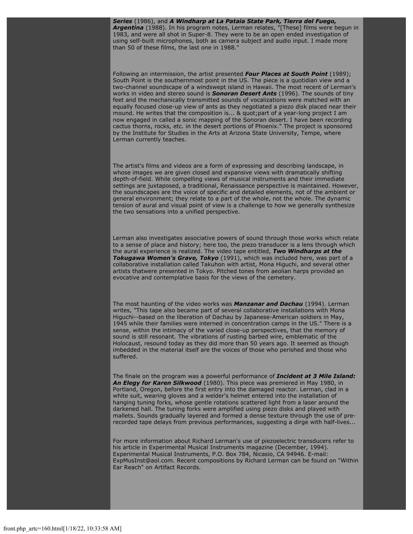*Series* (1986), and *A Windharp at La Pataia State Park, Tierra del Fuego, Argentina* (1988). In his program notes, Lerman relates, "[These] films were begun in 1983, and were all shot in Super-8. They were to be an open ended investigation of using self-built microphones, both as camera subject and audio input. I made more than 50 of these films, the last one in 1988."

Following an intermission, the artist presented *Four Places at South Point* (1989); South Point is the southernmost point in the US. The piece is a quotidian view and a two-channel soundscape of a windswept island in Hawaii. The most recent of Lerman's works in video and stereo sound is *Sonoran Desert Ants* (1996). The sounds of tiny feet and the mechanically transmitted sounds of vocalizations were matched with an equally focused close-up view of ants as they negotiated a piezo disk placed near their mound. He writes that the composition is... & quot;part of a year-long project I am now engaged in called a sonic mapping of the Sonoran desert. I have been recording cactus thorns, rocks, etc. in the desert portions of Phoenix." The project is sponsored by the Institute for Studies in the Arts at Arizona State University, Tempe, where Lerman currently teaches.

The artist's films and videos are a form of expressing and describing landscape, in whose images we are given closed and expansive views with dramatically shifting depth-of-field. While compelling views of musical instruments and their immediate settings are juxtaposed, a traditional, Renaissance perspective is maintained. However, the soundscapes are the voice of specific and detailed elements, not of the ambient or general environment; they relate to a part of the whole, not the whole. The dynamic tension of aural and visual point of view is a challenge to how we generally synthesize the two sensations into a unified perspective.

Lerman also investigates associative powers of sound through those works which relate to a sense of place and history; here too, the piezo transducer is a lens through which the aural experience is realized. The video tape entitled, *Two Windharps at the Tokugawa Women's Grave, Tokyo* (1991), which was included here, was part of a collaborative installation called Takuhon with artist, Mona Higuchi, and several other artists thatwere presented in Tokyo. Pitched tones from aeolian harps provided an evocative and contemplative basis for the views of the cemetery.

The most haunting of the video works was *Manzanar and Dachau* (1994). Lerman writes, "This tape also became part of several collaborative installations with Mona Higuchi--based on the liberation of Dachau by Japanese-American soldiers in May, 1945 while their families were interned in concentration camps in the US." There is a sense, within the intimacy of the varied close-up perspectives, that the memory of sound is still resonant. The vibrations of rusting barbed wire, emblematic of the Holocaust, resound today as they did more than 50 years ago. It seemed as though imbedded in the material itself are the voices of those who perished and those who suffered.

The finale on the program was a powerful performance of *Incident at 3 Mile Island: An Elegy for Karen Silkwood* (1980). This piece was premiered in May 1980, in Portland, Oregon, before the first entry into the damaged reactor. Lerman, clad in a white suit, wearing gloves and a welder's helmet entered into the installation of hanging tuning forks, whose gentle rotations scattered light from a laser around the darkened hall. The tuning forks were amplified using piezo disks and played with mallets. Sounds gradually layered and formed a dense texture through the use of prerecorded tape delays from previous performances, suggesting a dirge with half-lives...

For more information about Richard Lerman's use of piezoelectric transducers refer to his article in Experimental Musical Instruments magazine (December, 1994). Experimental Musical Instruments, P.O. Box 784, Nicasio, CA 94946. E-mail: ExpMusInst@aol.com. Recent compositions by Richard Lerman can be found on "Within Ear Reach" on Artifact Records.